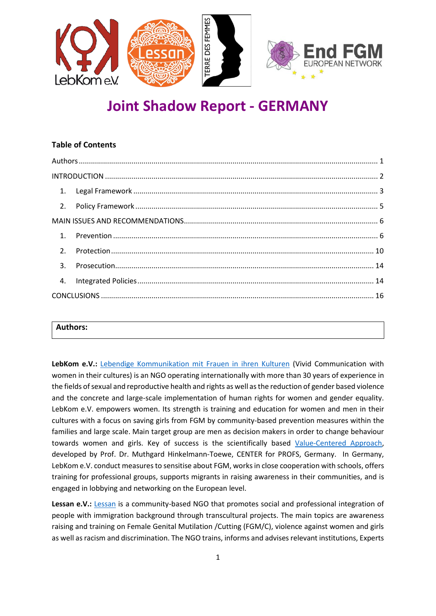

# **Joint Shadow Report - GERMANY**

# **Table of Contents** [Authors....................................................................................................................................................](#page-0-0) 1 INTRODUCTION [.......................................................................................................................................](#page-1-0) 2 1. Legal Framework [.........................................................................................................................](#page-2-0) 3 2. Policy Framework [........................................................................................................................](#page-4-0) 5 [MAIN ISSUES AND RECOMMENDATIONS................................................................................................](#page-5-0) 6 1. Prevention [...................................................................................................................................](#page-5-1) 6 2. [Protection..................................................................................................................................](#page-9-0) 10 3. [Prosecution................................................................................................................................](#page-13-0) 14 4. [Integrated Policies.....................................................................................................................](#page-13-1) 14 CONCLUSIONS [.......................................................................................................................................](#page-15-0) 16

#### <span id="page-0-0"></span>**Authors:**

**LebKom e.V.:** [Lebendige Kommunikation mit Frauen in ihren Kulturen](https://www.fulda-mosocho-project.com/) (Vivid Communication with women in their cultures) is an NGO operating internationally with more than 30 years of experience in the fields of sexual and reproductive health and rights as well as the reduction of gender based violence and the concrete and large-scale implementation of human rights for women and gender equality. LebKom e.V. empowers women. Its strength is training and education for women and men in their cultures with a focus on saving girls from FGM by community-based prevention measures within the families and large scale. Main target group are men as decision makers in order to change behaviour towards women and girls. Key of success is the scientifically based [Value-Centered Approach,](https://www.fulda-mosocho-project.com/center-for-profs-english/) developed by Prof. Dr. Muthgard Hinkelmann-Toewe, CENTER for PROFS, Germany. In Germany, LebKom e.V. conduct measures to sensitise about FGM, works in close cooperation with schools, offers training for professional groups, supports migrants in raising awareness in their communities, and is engaged in lobbying and networking on the European level.

[Lessan](https://lessan.eu/?fbclid=IwAR3yakIHgos4QPB6FDivppYl1ys8XuEXRv3BzvNbn0qJVGMTEsf2-Vi2BFc) e.V.: **Lessan** is a community-based NGO that promotes social and professional integration of people with immigration background through transcultural projects. The main topics are awareness raising and training on Female Genital Mutilation /Cutting (FGM/C), violence against women and girls as well as racism and discrimination. The NGO trains, informs and advises relevant institutions, Experts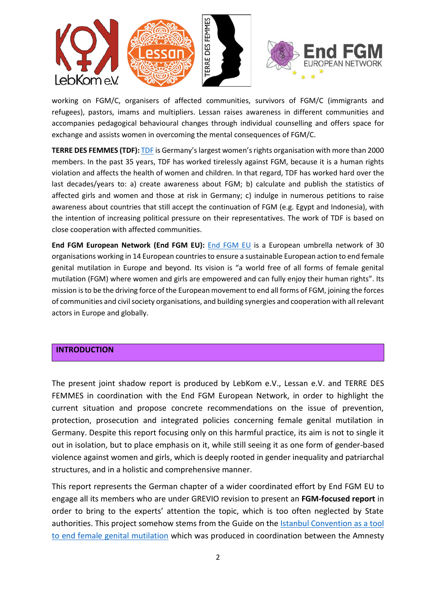

working on FGM/C, organisers of affected communities, survivors of FGM/C (immigrants and refugees), pastors, imams and multipliers. Lessan raises awareness in different communities and accompanies pedagogical behavioural changes through individual counselling and offers space for exchange and assists women in overcoming the mental consequences of FGM/C.

**TERRE DES FEMMES (TDF):** [TDF](https://www.frauenrechte.de/index.php) is Germany's largest women'srights organisation with more than 2000 members. In the past 35 years, TDF has worked tirelessly against FGM, because it is a human rights violation and affects the health of women and children. In that regard, TDF has worked hard over the last decades/years to: a) create awareness about FGM; b) calculate and publish the statistics of affected girls and women and those at risk in Germany; c) indulge in numerous petitions to raise awareness about countries that still accept the continuation of FGM (e.g. Egypt and Indonesia), with the intention of increasing political pressure on their representatives. The work of TDF is based on close cooperation with affected communities.

**End FGM European Network (End FGM EU):** [End FGM](http://www.endfgm.eu/) EU is a European umbrella network of 30 organisations working in 14 European countriesto ensure a sustainable European action to end female genital mutilation in Europe and beyond. Its vision is "a world free of all forms of female genital mutilation (FGM) where women and girls are empowered and can fully enjoy their human rights". Its mission is to be the driving force of the European movement to end all forms of FGM, joining the forces of communities and civil society organisations, and building synergies and cooperation with all relevant actors in Europe and globally.

#### <span id="page-1-0"></span>**INTRODUCTION**

The present joint shadow report is produced by LebKom e.V., Lessan e.V. and TERRE DES FEMMES in coordination with the End FGM European Network, in order to highlight the current situation and propose concrete recommendations on the issue of prevention, protection, prosecution and integrated policies concerning female genital mutilation in Germany. Despite this report focusing only on this harmful practice, its aim is not to single it out in isolation, but to place emphasis on it, while still seeing it as one form of gender-based violence against women and girls, which is deeply rooted in gender inequality and patriarchal structures, and in a holistic and comprehensive manner.

This report represents the German chapter of a wider coordinated effort by End FGM EU to engage all its members who are under GREVIO revision to present an **FGM-focused report** in order to bring to the experts' attention the topic, which is too often neglected by State authorities. This project somehow stems from the Guide on the Istanbul Convention as a tool [to end female genital mutilation](http://www.endfgm.eu/editor/files/2016/01/IstanbulConventionFGMguide_FINAL_ENGLISH.pdf) which was produced in coordination between the Amnesty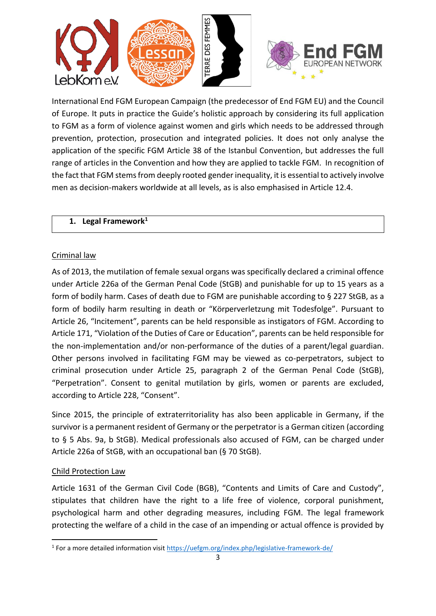

International End FGM European Campaign (the predecessor of End FGM EU) and the Council of Europe. It puts in practice the Guide's holistic approach by considering its full application to FGM as a form of violence against women and girls which needs to be addressed through prevention, protection, prosecution and integrated policies. It does not only analyse the application of the specific FGM Article 38 of the Istanbul Convention, but addresses the full range of articles in the Convention and how they are applied to tackle FGM. In recognition of the fact that FGM stems from deeply rooted gender inequality, it is essential to actively involve men as decision-makers worldwide at all levels, as is also emphasised in Article 12.4.

## <span id="page-2-0"></span>**1. Legal Framework<sup>1</sup>**

# Criminal law

As of 2013, the mutilation of female sexual organs was specifically declared a criminal offence under Article 226a of the German Penal Code (StGB) and punishable for up to 15 years as a form of bodily harm. Cases of death due to FGM are punishable according to § 227 StGB, as a form of bodily harm resulting in death or "Körperverletzung mit Todesfolge". Pursuant to Article 26, "Incitement", parents can be held responsible as instigators of FGM. According to Article 171, "Violation of the Duties of Care or Education", parents can be held responsible for the non-implementation and/or non-performance of the duties of a parent/legal guardian. Other persons involved in facilitating FGM may be viewed as co-perpetrators, subject to criminal prosecution under Article 25, paragraph 2 of the German Penal Code (StGB), "Perpetration". Consent to genital mutilation by girls, women or parents are excluded, according to Article 228, "Consent".

Since 2015, the principle of extraterritoriality has also been applicable in Germany, if the survivor is a permanent resident of Germany or the perpetrator is a German citizen (according to § 5 Abs. 9a, b StGB). Medical professionals also accused of FGM, can be charged under Article 226a of StGB, with an occupational ban (§ 70 StGB).

# Child Protection Law

Article 1631 of the German Civil Code (BGB), "Contents and Limits of Care and Custody", stipulates that children have the right to a life free of violence, corporal punishment, psychological harm and other degrading measures, including FGM. The legal framework protecting the welfare of a child in the case of an impending or actual offence is provided by

<sup>&</sup>lt;sup>1</sup> For a more detailed information visi[t https://uefgm.org/index.php/legislative-framework-de/](https://uefgm.org/index.php/legislative-framework-de/)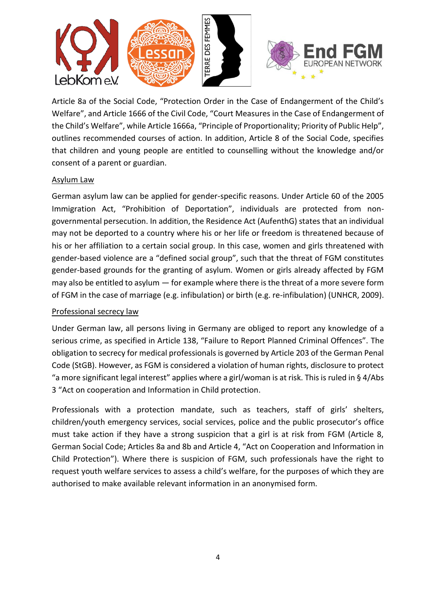

Article 8a of the Social Code, "Protection Order in the Case of Endangerment of the Child's Welfare", and Article 1666 of the Civil Code, "Court Measures in the Case of Endangerment of the Child's Welfare", while Article 1666a, "Principle of Proportionality; Priority of Public Help", outlines recommended courses of action. In addition, Article 8 of the Social Code, specifies that children and young people are entitled to counselling without the knowledge and/or consent of a parent or guardian.

#### Asylum Law

German asylum law can be applied for gender-specific reasons. Under Article 60 of the 2005 Immigration Act, "Prohibition of Deportation", individuals are protected from nongovernmental persecution. In addition, the Residence Act (AufenthG) states that an individual may not be deported to a country where his or her life or freedom is threatened because of his or her affiliation to a certain social group. In this case, women and girls threatened with gender-based violence are a "defined social group", such that the threat of FGM constitutes gender-based grounds for the granting of asylum. Women or girls already affected by FGM may also be entitled to asylum — for example where there is the threat of a more severe form of FGM in the case of marriage (e.g. infibulation) or birth (e.g. re-infibulation) (UNHCR, 2009).

## Professional secrecy law

Under German law, all persons living in Germany are obliged to report any knowledge of a serious crime, as specified in Article 138, "Failure to Report Planned Criminal Offences". The obligation to secrecy for medical professionals is governed by Article 203 of the German Penal Code (StGB). However, as FGM is considered a violation of human rights, disclosure to protect "a more significant legal interest" applies where a girl/woman is at risk. This is ruled in § 4/Abs 3 "Act on cooperation and Information in Child protection.

Professionals with a protection mandate, such as teachers, staff of girls' shelters, children/youth emergency services, social services, police and the public prosecutor's office must take action if they have a strong suspicion that a girl is at risk from FGM (Article 8, German Social Code; Articles 8a and 8b and Article 4, "Act on Cooperation and Information in Child Protection"). Where there is suspicion of FGM, such professionals have the right to request youth welfare services to assess a child's welfare, for the purposes of which they are authorised to make available relevant information in an anonymised form.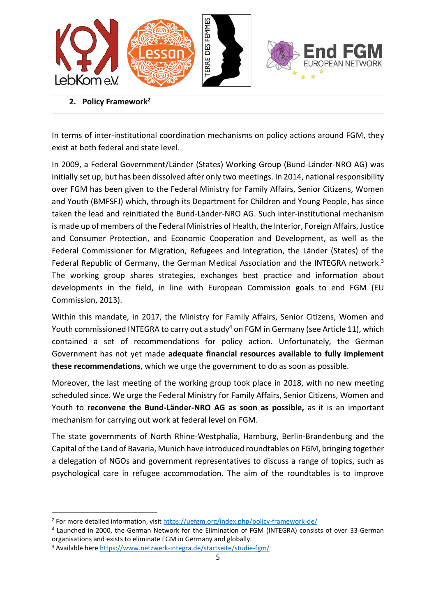

<span id="page-4-0"></span>**2. Policy Framework<sup>2</sup>**

In terms of inter-institutional coordination mechanisms on policy actions around FGM, they exist at both federal and state level.

In 2009, a Federal Government/Länder (States) Working Group (Bund-Länder-NRO AG) was initially set up, but has been dissolved after only two meetings. In 2014, national responsibility over FGM has been given to the Federal Ministry for Family Affairs, Senior Citizens, Women and Youth (BMFSFJ) which, through its Department for Children and Young People, has since taken the lead and reinitiated the Bund-Länder-NRO AG. Such inter-institutional mechanism is made up of members of the Federal Ministries of Health, the Interior, Foreign Affairs, Justice and Consumer Protection, and Economic Cooperation and Development, as well as the Federal Commissioner for Migration, Refugees and Integration, the Länder (States) of the Federal Republic of Germany, the German Medical Association and the INTEGRA network.<sup>3</sup> The working group shares strategies, exchanges best practice and information about developments in the field, in line with European Commission goals to end FGM (EU Commission, 2013).

Within this mandate, in 2017, the Ministry for Family Affairs, Senior Citizens, Women and Youth commissioned INTEGRA to carry out a study<sup>4</sup> on FGM in Germany (see Article 11), which contained a set of recommendations for policy action. Unfortunately, the German Government has not yet made **adequate financial resources available to fully implement these recommendations**, which we urge the government to do as soon as possible.

Moreover, the last meeting of the working group took place in 2018, with no new meeting scheduled since. We urge the Federal Ministry for Family Affairs, Senior Citizens, Women and Youth to **reconvene the Bund-Länder-NRO AG as soon as possible,** as it is an important mechanism for carrying out work at federal level on FGM.

The state governments of North Rhine-Westphalia, Hamburg, Berlin-Brandenburg and the Capital of the Land of Bavaria, Munich have introduced roundtables on FGM, bringing together a delegation of NGOs and government representatives to discuss a range of topics, such as psychological care in refugee accommodation. The aim of the roundtables is to improve

<sup>&</sup>lt;sup>2</sup> For more detailed information, visit<https://uefgm.org/index.php/policy-framework-de/>

<sup>&</sup>lt;sup>3</sup> Launched in 2000, the German Network for the Elimination of FGM (INTEGRA) consists of over 33 German organisations and exists to eliminate FGM in Germany and globally.

<sup>4</sup> Available her[e https://www.netzwerk-integra.de/startseite/studie-fgm/](https://www.netzwerk-integra.de/startseite/studie-fgm/)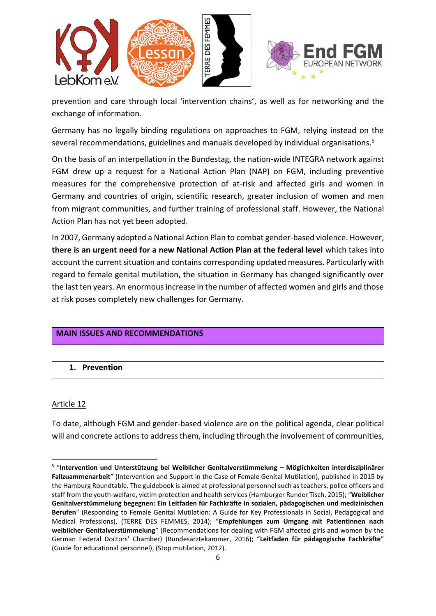

prevention and care through local 'intervention chains', as well as for networking and the exchange of information.

Germany has no legally binding regulations on approaches to FGM, relying instead on the several recommendations, guidelines and manuals developed by individual organisations.<sup>5</sup>

On the basis of an interpellation in the Bundestag, the nation-wide INTEGRA network against FGM drew up a request for a National Action Plan (NAP) on FGM, including preventive measures for the comprehensive protection of at-risk and affected girls and women in Germany and countries of origin, scientific research, greater inclusion of women and men from migrant communities, and further training of professional staff. However, the National Action Plan has not yet been adopted.

In 2007, Germany adopted a National Action Plan to combat gender-based violence. However, **there is an urgent need for a new National Action Plan at the federal level** which takes into account the current situation and contains corresponding updated measures. Particularly with regard to female genital mutilation, the situation in Germany has changed significantly over the last ten years. An enormous increase in the number of affected women and girls and those at risk poses completely new challenges for Germany.

# <span id="page-5-0"></span>**MAIN ISSUES AND RECOMMENDATIONS**

<span id="page-5-1"></span>**1. Prevention**

#### Article 12

To date, although FGM and gender-based violence are on the political agenda, clear political will and concrete actions to address them, including through the involvement of communities,

<sup>5</sup> "**Intervention und Unterstützung bei Weiblicher Genitalverstümmelung – Möglichkeiten interdisziplinärer Fallzuammenarbeit**" (Intervention and Support in the Case of Female Genital Mutilation), published in 2015 by the Hamburg Roundtable. The guidebook is aimed at professional personnel such as teachers, police officers and staff from the youth-welfare, victim protection and health services (Hamburger Runder Tisch, 2015); "**Weiblicher Genitalverstümmelung begegnen: Ein Leitfaden für Fachkräfte in sozialen, pädagogischen und medizinischen Berufen**" (Responding to Female Genital Mutilation: A Guide for Key Professionals in Social, Pedagogical and Medical Professions), (TERRE DES FEMMES, 2014); "**Empfehlungen zum Umgang mit Patientinnen nach weiblicher Genitalverstümmelung**" (Recommendations for dealing with FGM affected girls and women by the German Federal Doctors' Chamber) (Bundesärztekammer, 2016); "**Leitfaden für pädagogische Fachkräfte**" (Guide for educational personnel), (Stop mutilation, 2012).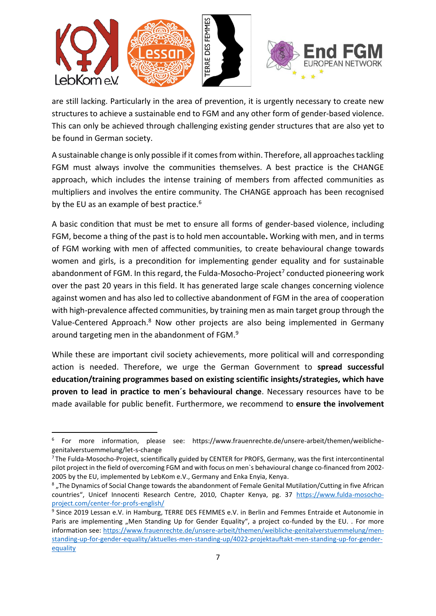

are still lacking. Particularly in the area of prevention, it is urgently necessary to create new structures to achieve a sustainable end to FGM and any other form of gender-based violence. This can only be achieved through challenging existing gender structures that are also yet to be found in German society.

A sustainable change is only possible if it comes from within. Therefore, all approaches tackling FGM must always involve the communities themselves. A best practice is the CHANGE approach, which includes the intense training of members from affected communities as multipliers and involves the entire community. The CHANGE approach has been recognised by the EU as an example of best practice.<sup>6</sup>

A basic condition that must be met to ensure all forms of gender-based violence, including FGM, become a thing of the past is to hold men accountable**.** Working with men, and in terms of FGM working with men of affected communities, to create behavioural change towards women and girls, is a precondition for implementing gender equality and for sustainable abandonment of FGM. In this regard, the Fulda-Mosocho-Project<sup>7</sup> conducted pioneering work over the past 20 years in this field. It has generated large scale changes concerning violence against women and has also led to collective abandonment of FGM in the area of cooperation with high-prevalence affected communities, by training men as main target group through the Value-Centered Approach.<sup>8</sup> Now other projects are also being implemented in Germany around targeting men in the abandonment of FGM.<sup>9</sup>

While these are important civil society achievements, more political will and corresponding action is needed. Therefore, we urge the German Government to **spread successful education/training programmes based on existing scientific insights/strategies, which have proven to lead in practice to men´s behavioural change**. Necessary resources have to be made available for public benefit. Furthermore, we recommend to **ensure the involvement** 

<sup>6</sup> For more information, please see: [https://www.frauenrechte.de/unsere-arbeit/themen/weibliche](https://www.frauenrechte.de/unsere-arbeit/themen/weibliche-genitalverstuemmelung/let-s-change)[genitalverstuemmelung/let-s-change](https://www.frauenrechte.de/unsere-arbeit/themen/weibliche-genitalverstuemmelung/let-s-change)

 $<sup>7</sup>$ The Fulda-Mosocho-Project, scientifically guided by CENTER for PROFS, Germany, was the first intercontinental</sup> pilot project in the field of overcoming FGM and with focus on men`s behavioural change co-financed from 2002- 2005 by the EU, implemented by LebKom e.V., Germany and Enka Enyia, Kenya.

 $^8$  "The Dynamics of Social Change towards the abandonment of Female Genital Mutilation/Cutting in five African countries", Unicef Innocenti Research Centre, 2010, Chapter Kenya, pg. 37 [https://www.fulda-mosocho](https://www.fulda-mosocho-project.com/center-for-profs-english/)[project.com/center-for-profs-english/](https://www.fulda-mosocho-project.com/center-for-profs-english/)

<sup>&</sup>lt;sup>9</sup> Since 2019 Lessan e.V. in Hamburg, TERRE DES FEMMES e.V. in Berlin and Femmes Entraide et Autonomie in Paris are implementing "Men Standing Up for Gender Equality", a project co-funded by the EU. . For more information see: [https://www.frauenrechte.de/unsere-arbeit/themen/weibliche-genitalverstuemmelung/men](https://www.frauenrechte.de/unsere-arbeit/themen/weibliche-genitalverstuemmelung/men-standing-up-for-gender-equality/aktuelles-men-standing-up/4022-projektauftakt-men-standing-up-for-gender-equality)[standing-up-for-gender-equality/aktuelles-men-standing-up/4022-projektauftakt-men-standing-up-for-gender](https://www.frauenrechte.de/unsere-arbeit/themen/weibliche-genitalverstuemmelung/men-standing-up-for-gender-equality/aktuelles-men-standing-up/4022-projektauftakt-men-standing-up-for-gender-equality)[equality](https://www.frauenrechte.de/unsere-arbeit/themen/weibliche-genitalverstuemmelung/men-standing-up-for-gender-equality/aktuelles-men-standing-up/4022-projektauftakt-men-standing-up-for-gender-equality)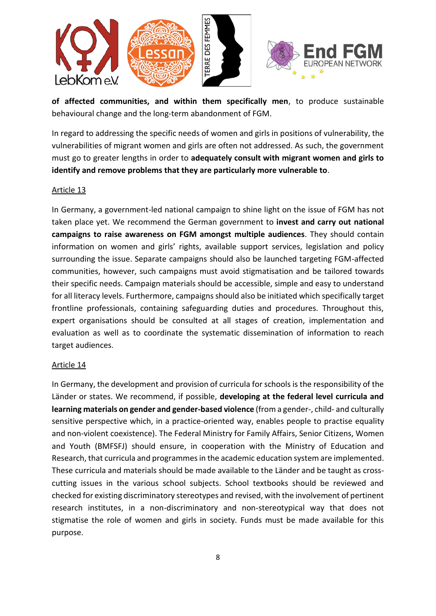

**of affected communities, and within them specifically men**, to produce sustainable behavioural change and the long-term abandonment of FGM.

In regard to addressing the specific needs of women and girls in positions of vulnerability, the vulnerabilities of migrant women and girls are often not addressed. As such, the government must go to greater lengths in order to **adequately consult with migrant women and girls to identify and remove problems that they are particularly more vulnerable to**.

#### Article 13

In Germany, a government-led national campaign to shine light on the issue of FGM has not taken place yet. We recommend the German government to **invest and carry out national campaigns to raise awareness on FGM amongst multiple audiences**. They should contain information on women and girls' rights, available support services, legislation and policy surrounding the issue. Separate campaigns should also be launched targeting FGM-affected communities, however, such campaigns must avoid stigmatisation and be tailored towards their specific needs. Campaign materials should be accessible, simple and easy to understand for all literacy levels. Furthermore, campaigns should also be initiated which specifically target frontline professionals, containing safeguarding duties and procedures. Throughout this, expert organisations should be consulted at all stages of creation, implementation and evaluation as well as to coordinate the systematic dissemination of information to reach target audiences.

#### Article 14

In Germany, the development and provision of curricula for schools is the responsibility of the Länder or states. We recommend, if possible, **developing at the federal level curricula and learning materials on gender and gender-based violence** (from a gender-, child- and culturally sensitive perspective which, in a practice-oriented way, enables people to practise equality and non-violent coexistence). The Federal Ministry for Family Affairs, Senior Citizens, Women and Youth (BMFSFJ) should ensure, in cooperation with the Ministry of Education and Research, that curricula and programmes in the academic education system are implemented. These curricula and materials should be made available to the Länder and be taught as crosscutting issues in the various school subjects. School textbooks should be reviewed and checked for existing discriminatory stereotypes and revised, with the involvement of pertinent research institutes, in a non-discriminatory and non-stereotypical way that does not stigmatise the role of women and girls in society. Funds must be made available for this purpose.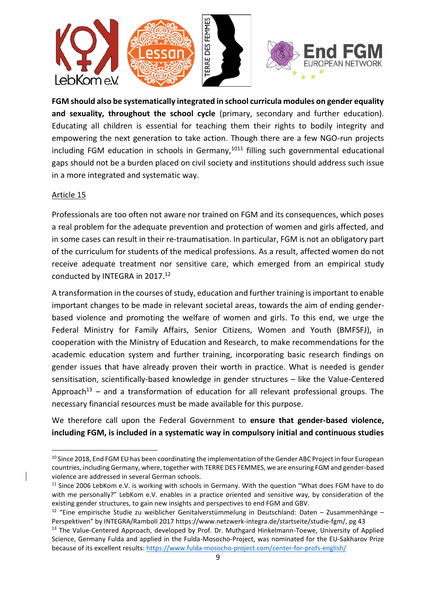

**FGM should also be systematically integrated in school curricula modules on gender equality**  and sexuality, throughout the school cycle (primary, secondary and further education). Educating all children is essential for teaching them their rights to bodily integrity and empowering the next generation to take action. Though there are a few NGO-run projects including FGM education in schools in Germany,<sup>1011</sup> filling such governmental educational gaps should not be a burden placed on civil society and institutions should address such issue in a more integrated and systematic way.

#### Article 15

Professionals are too often not aware nor trained on FGM and its consequences, which poses a real problem for the adequate prevention and protection of women and girls affected, and in some cases can result in their re-traumatisation. In particular, FGM is not an obligatory part of the curriculum for students of the medical professions. As a result, affected women do not receive adequate treatment nor sensitive care, which emerged from an empirical study conducted by INTEGRA in 2017. 12

A transformation in the courses of study, education and further training is important to enable important changes to be made in relevant societal areas, towards the aim of ending genderbased violence and promoting the welfare of women and girls. To this end, we urge the Federal Ministry for Family Affairs, Senior Citizens, Women and Youth (BMFSFJ), in cooperation with the Ministry of Education and Research, to make recommendations for the academic education system and further training, incorporating basic research findings on gender issues that have already proven their worth in practice. What is needed is gender sensitisation, scientifically-based knowledge in gender structures – like the Value-Centered Approach<sup>13</sup> – and a transformation of education for all relevant professional groups. The necessary financial resources must be made available for this purpose.

We therefore call upon the Federal Government to **ensure that gender-based violence, including FGM, is included in a systematic way in compulsory initial and continuous studies** 

<sup>&</sup>lt;sup>10</sup> Since 2018, End FGM EU has been coordinating the implementation of the Gender ABC Project in four European countries, including Germany, where, together with TERRE DES FEMMES, we are ensuring FGM and gender-based violence are addressed in several German schools.

 $11$  Since 2006 LebKom e.V. is working with schools in Germany. With the question "What does FGM have to do with me personally?" LebKom e.V. enables in a practice oriented and sensitive way, by consideration of the existing gender structures, to gain new insights and perspectives to end FGM and GBV.

<sup>12</sup> "Eine empirische Studie zu weiblicher Genitalverstümmelung in Deutschland: Daten – Zusammenhänge – Perspektiven" by INTEGRA/Ramboll 2017 [https://www.netzwerk-integra.de/startseite/studie-fgm/,](https://www.netzwerk-integra.de/startseite/studie-fgm/) pg 43

<sup>&</sup>lt;sup>13</sup> The Value-Centered Approach, developed by Prof. Dr. Muthgard Hinkelmann-Toewe, University of Applied Science, Germany Fulda and applied in the Fulda-Mosocho-Project, was nominated for the EU-Sakharov Prize because of its excellent results:<https://www.fulda-mosocho-project.com/center-for-profs-english/>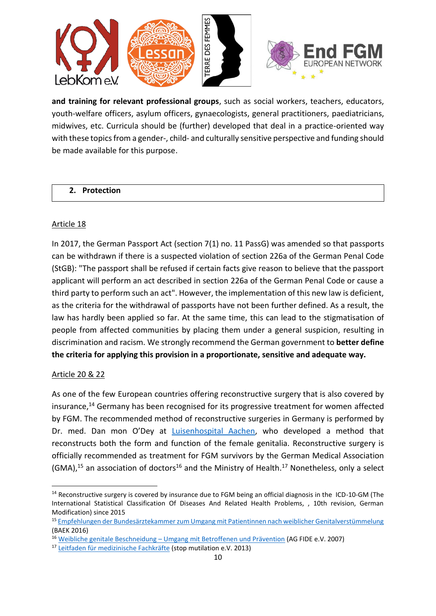

**and training for relevant professional groups**, such as social workers, teachers, educators, youth-welfare officers, asylum officers, gynaecologists, general practitioners, paediatricians, midwives, etc. Curricula should be (further) developed that deal in a practice-oriented way with these topics from a gender-, child- and culturally sensitive perspective and funding should be made available for this purpose.

#### <span id="page-9-0"></span>**2. Protection**

#### Article 18

In 2017, the German Passport Act (section 7(1) no. 11 PassG) was amended so that passports can be withdrawn if there is a suspected violation of section 226a of the German Penal Code (StGB): "The passport shall be refused if certain facts give reason to believe that the passport applicant will perform an act described in section 226a of the German Penal Code or cause a third party to perform such an act". However, the implementation of this new law is deficient, as the criteria for the withdrawal of passports have not been further defined. As a result, the law has hardly been applied so far. At the same time, this can lead to the stigmatisation of people from affected communities by placing them under a general suspicion, resulting in discrimination and racism. We strongly recommend the German government to **better define the criteria for applying this provision in a proportionate, sensitive and adequate way.**

# Article 20 & 22

As one of the few European countries offering reconstructive surgery that is also covered by insurance, <sup>14</sup> Germany has been recognised for its progressive treatment for women affected by FGM. The recommended method of reconstructive surgeries in Germany is performed by Dr. med. Dan mon O'Dey at [Luisenhospital Aachen,](https://www.luisenhospital.de/luisenhospital-aachen/kliniken/plastische-rekonstruktive-u-aesthetische-chirurgie/unsere-leistungen/weibliche-geschlechtsmerkmale) who developed a method that reconstructs both the form and function of the female genitalia. Reconstructive surgery is officially recommended as treatment for FGM survivors by the German Medical Association (GMA),<sup>15</sup> an association of doctors<sup>16</sup> and the Ministry of Health.<sup>17</sup> Nonetheless, only a select

<sup>&</sup>lt;sup>14</sup> Reconstructive surgery is covered by insurance due to FGM being an official diagnosis in the ICD-10-GM (The International Statistical Classification Of Diseases And Related Health Problems, , 10th revision, German Modification) since 2015

<sup>15</sup> [Empfehlungen der Bundesärztekammer zum Umgang mit Patientinnen nach weiblicher Genitalverstümmelung](https://www.bundesaerztekammer.de/fileadmin/user_upload/downloads/pdf-Ordner/Empfehlungen/2016-04_Empfehlungen-zum-Umgang-mit-Patientinnen-nach-weiblicher-Genitalverstuemmelung.pdf) (BAEK 2016)

<sup>16</sup> Weibliche genitale Beschneidung – [Umgang mit Betroffenen und Prävention](https://ag-fide.org/ag-fide-e-v/wer-wir-sind/) (AG FIDE e.V. 2007)

<sup>17</sup> [Leitfaden für medizinische Fachkräfte](http://www.stop-mutilation.org/library/pdf/leitfaden_medizinische_fachkraefte.pdf) (stop mutilation e.V. 2013)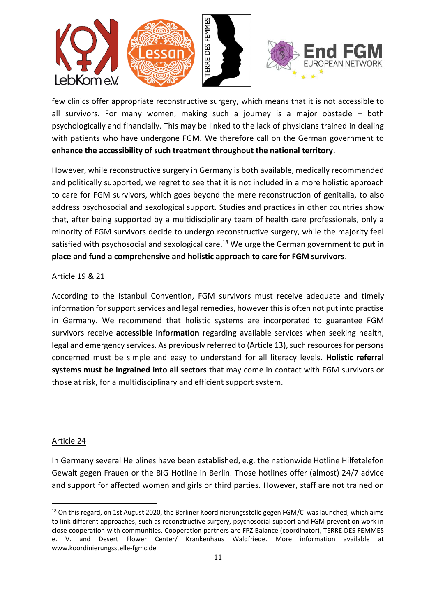

few clinics offer appropriate reconstructive surgery, which means that it is not accessible to all survivors. For many women, making such a journey is a major obstacle – both psychologically and financially. This may be linked to the lack of physicians trained in dealing with patients who have undergone FGM. We therefore call on the German government to **enhance the accessibility of such treatment throughout the national territory**.

However, while reconstructive surgery in Germany is both available, medically recommended and politically supported, we regret to see that it is not included in a more holistic approach to care for FGM survivors, which goes beyond the mere reconstruction of genitalia, to also address psychosocial and sexological support. Studies and practices in other countries show that, after being supported by a multidisciplinary team of health care professionals, only a minority of FGM survivors decide to undergo reconstructive surgery, while the majority feel satisfied with psychosocial and sexological care. <sup>18</sup> We urge the German government to **put in place and fund a comprehensive and holistic approach to care for FGM survivors**.

#### Article 19 & 21

According to the Istanbul Convention, FGM survivors must receive adequate and timely information for support services and legal remedies, however this is often not put into practise in Germany. We recommend that holistic systems are incorporated to guarantee FGM survivors receive **accessible information** regarding available services when seeking health, legal and emergency services. As previously referred to (Article 13), such resources for persons concerned must be simple and easy to understand for all literacy levels. **Holistic referral systems must be ingrained into all sectors** that may come in contact with FGM survivors or those at risk, for a multidisciplinary and efficient support system.

#### Article 24

In Germany several Helplines have been established, e.g. the nationwide Hotline Hilfetelefon Gewalt gegen Frauen or the BIG Hotline in Berlin. Those hotlines offer (almost) 24/7 advice and support for affected women and girls or third parties. However, staff are not trained on

<sup>&</sup>lt;sup>18</sup> On this regard, on 1st August 2020, the Berliner Koordinierungsstelle gegen FGM/C was launched, which aims to link different approaches, such as reconstructive surgery, psychosocial support and FGM prevention work in close cooperation with communities. Cooperation partners are FPZ Balance (coordinator), TERRE DES FEMMES e. V. and Desert Flower Center/ Krankenhaus Waldfriede. More information available at www.koordinierungsstelle-fgmc.de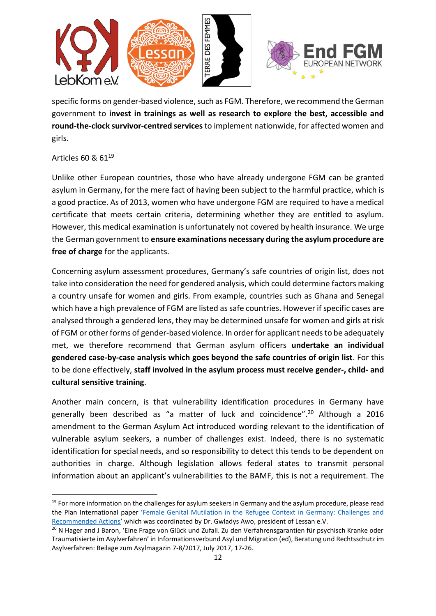

specific forms on gender-based violence, such as FGM. Therefore, we recommend the German government to **invest in trainings as well as research to explore the best, accessible and round-the-clock survivor-centred services**to implement nationwide, for affected women and girls.

# Articles 60 & 61<sup>19</sup>

Unlike other European countries, those who have already undergone FGM can be granted asylum in Germany, for the mere fact of having been subject to the harmful practice, which is a good practice. As of 2013, women who have undergone FGM are required to have a medical certificate that meets certain criteria, determining whether they are entitled to asylum. However, this medical examination is unfortunately not covered by health insurance. We urge the German government to **ensure examinations necessary during the asylum procedure are free of charge** for the applicants.

Concerning asylum assessment procedures, Germany's safe countries of origin list, does not take into consideration the need for gendered analysis, which could determine factors making a country unsafe for women and girls. From example, countries such as Ghana and Senegal which have a high prevalence of FGM are listed as safe countries. However if specific cases are analysed through a gendered lens, they may be determined unsafe for women and girls at risk of FGM or other forms of gender-based violence. In order for applicant needs to be adequately met, we therefore recommend that German asylum officers **undertake an individual gendered case-by-case analysis which goes beyond the safe countries of origin list**. For this to be done effectively, **staff involved in the asylum process must receive gender-, child- and cultural sensitive training**.

Another main concern, is that vulnerability identification procedures in Germany have generally been described as "a matter of luck and coincidence". <sup>20</sup> Although a 2016 amendment to the German Asylum Act introduced wording relevant to the identification of vulnerable asylum seekers, a number of challenges exist. Indeed, there is no systematic identification for special needs, and so responsibility to detect this tends to be dependent on authorities in charge. Although legislation allows federal states to transmit personal information about an applicant's vulnerabilities to the BAMF, this is not a requirement. The

<sup>&</sup>lt;sup>19</sup> For more information on the challenges for asylum seekers in Germany and the asylum procedure, please read the Plan International paper '[Female Genital Mutilation in the Refugee Context in Germany: Challenges and](https://www.endfgm.eu/resources/studies/female-genital-mutilation-in-the-refugee-context-in-germany/?page=&writer=&document=&topic=)  [Recommended Actions](https://www.endfgm.eu/resources/studies/female-genital-mutilation-in-the-refugee-context-in-germany/?page=&writer=&document=&topic=)' which was coordinated by Dr. Gwladys Awo, president of Lessan e.V.

<sup>&</sup>lt;sup>20</sup> N Hager and J Baron, 'Eine Frage von Glück und Zufall. Zu den Verfahrensgarantien für psychisch Kranke oder Traumatisierte im Asylverfahren' in Informationsverbund Asyl und Migration (ed), Beratung und Rechtsschutz im Asylverfahren: Beilage zum Asylmagazin 7-8/2017, July 2017, 17-26.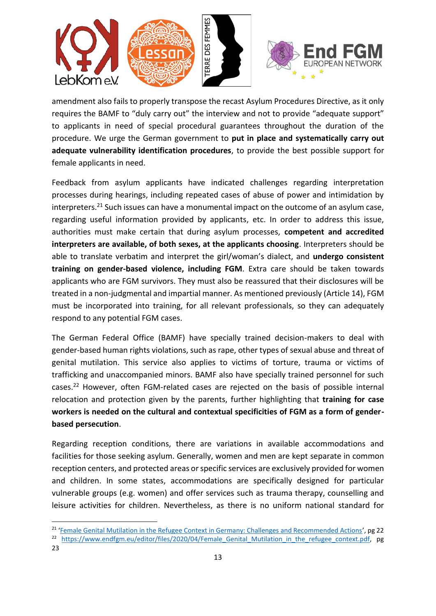

amendment also fails to properly transpose the recast Asylum Procedures Directive, as it only requires the BAMF to "duly carry out" the interview and not to provide "adequate support" to applicants in need of special procedural guarantees throughout the duration of the procedure. We urge the German government to **put in place and systematically carry out adequate vulnerability identification procedures**, to provide the best possible support for female applicants in need.

Feedback from asylum applicants have indicated challenges regarding interpretation processes during hearings, including repeated cases of abuse of power and intimidation by interpreters.<sup>21</sup> Such issues can have a monumental impact on the outcome of an asylum case, regarding useful information provided by applicants, etc. In order to address this issue, authorities must make certain that during asylum processes, **competent and accredited interpreters are available, of both sexes, at the applicants choosing**. Interpreters should be able to translate verbatim and interpret the girl/woman's dialect, and **undergo consistent training on gender-based violence, including FGM**. Extra care should be taken towards applicants who are FGM survivors. They must also be reassured that their disclosures will be treated in a non-judgmental and impartial manner. As mentioned previously (Article 14), FGM must be incorporated into training, for all relevant professionals, so they can adequately respond to any potential FGM cases.

The German Federal Office (BAMF) have specially trained decision-makers to deal with gender-based human rights violations, such as rape, other types of sexual abuse and threat of genital mutilation. This service also applies to victims of torture, trauma or victims of trafficking and unaccompanied minors. BAMF also have specially trained personnel for such cases.<sup>22</sup> However, often FGM-related cases are rejected on the basis of possible internal relocation and protection given by the parents, further highlighting that **training for case workers is needed on the cultural and contextual specificities of FGM as a form of genderbased persecution**.

Regarding reception conditions, there are variations in available accommodations and facilities for those seeking asylum. Generally, women and men are kept separate in common reception centers, and protected areas or specific services are exclusively provided for women and children. In some states, accommodations are specifically designed for particular vulnerable groups (e.g. women) and offer services such as trauma therapy, counselling and leisure activities for children. Nevertheless, as there is no uniform national standard for

23

<sup>&</sup>lt;sup>21</sup> '[Female Genital Mutilation in the Refugee Context in Germany: Challenges and Recommended Actions](https://www.endfgm.eu/resources/studies/female-genital-mutilation-in-the-refugee-context-in-germany/?page=&writer=&document=&topic=)', pg 22 <sup>22</sup> https://www.endfgm.eu/editor/files/2020/04/Female Genital Mutilation in the refugee context.pdf, pg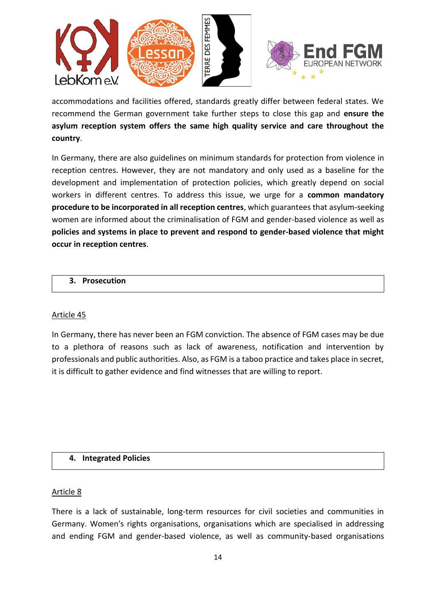

accommodations and facilities offered, standards greatly differ between federal states. We recommend the German government take further steps to close this gap and **ensure the asylum reception system offers the same high quality service and care throughout the country**.

In Germany, there are also guidelines on minimum standards for protection from violence in reception centres. However, they are not mandatory and only used as a baseline for the development and implementation of protection policies, which greatly depend on social workers in different centres. To address this issue, we urge for a **common mandatory procedure to be incorporated in all reception centres**, which guarantees that asylum-seeking women are informed about the criminalisation of FGM and gender-based violence as well as **policies and systems in place to prevent and respond to gender-based violence that might occur in reception centres**.

#### <span id="page-13-0"></span>**3. Prosecution**

#### Article 45

In Germany, there has never been an FGM conviction. The absence of FGM cases may be due to a plethora of reasons such as lack of awareness, notification and intervention by professionals and public authorities. Also, as FGM is a taboo practice and takes place in secret, it is difficult to gather evidence and find witnesses that are willing to report.

# <span id="page-13-1"></span>**4. Integrated Policies**

#### Article 8

There is a lack of sustainable, long-term resources for civil societies and communities in Germany. Women's rights organisations, organisations which are specialised in addressing and ending FGM and gender-based violence, as well as community-based organisations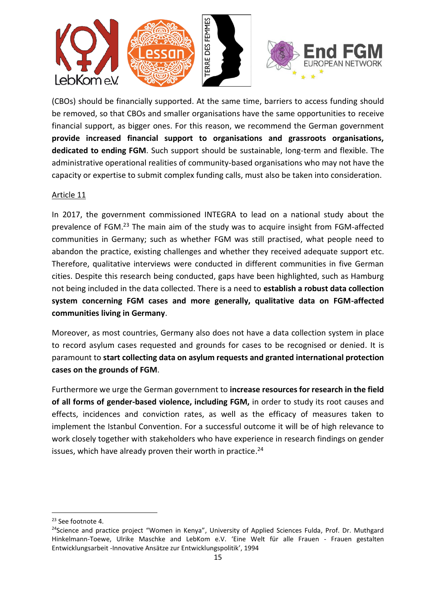

(CBOs) should be financially supported. At the same time, barriers to access funding should be removed, so that CBOs and smaller organisations have the same opportunities to receive financial support, as bigger ones. For this reason, we recommend the German government **provide increased financial support to organisations and grassroots organisations, dedicated to ending FGM**. Such support should be sustainable, long-term and flexible. The administrative operational realities of community-based organisations who may not have the capacity or expertise to submit complex funding calls, must also be taken into consideration.

#### Article 11

In 2017, the government commissioned INTEGRA to lead on a national study about the prevalence of FGM.<sup>23</sup> The main aim of the study was to acquire insight from FGM-affected communities in Germany; such as whether FGM was still practised, what people need to abandon the practice, existing challenges and whether they received adequate support etc. Therefore, qualitative interviews were conducted in different communities in five German cities. Despite this research being conducted, gaps have been highlighted, such as Hamburg not being included in the data collected. There is a need to **establish a robust data collection system concerning FGM cases and more generally, qualitative data on FGM-affected communities living in Germany**.

Moreover, as most countries, Germany also does not have a data collection system in place to record asylum cases requested and grounds for cases to be recognised or denied. It is paramount to **start collecting data on asylum requests and granted international protection cases on the grounds of FGM**.

Furthermore we urge the German government to **increase resources for research in the field of all forms of gender-based violence, including FGM,** in order to study its root causes and effects, incidences and conviction rates, as well as the efficacy of measures taken to implement the Istanbul Convention. For a successful outcome it will be of high relevance to work closely together with stakeholders who have experience in research findings on gender issues, which have already proven their worth in practice.<sup>24</sup>

<sup>&</sup>lt;sup>23</sup> See footnote 4.

<sup>&</sup>lt;sup>24</sup>Science and practice project "Women in Kenya", University of Applied Sciences Fulda, Prof. Dr. Muthgard Hinkelmann-Toewe, Ulrike Maschke and LebKom e.V. 'Eine Welt für alle Frauen - Frauen gestalten Entwicklungsarbeit -Innovative Ansätze zur Entwicklungspolitik', 1994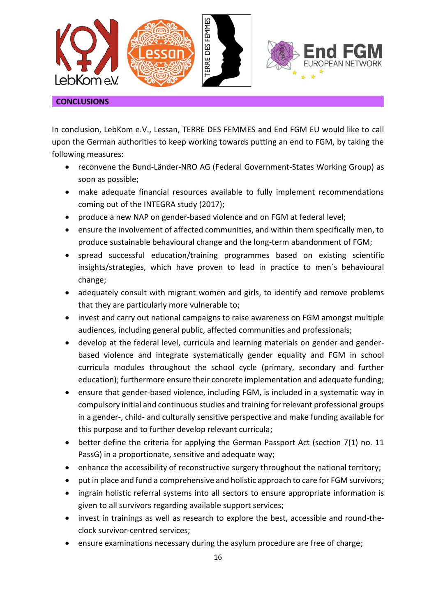

#### <span id="page-15-0"></span>**CONCLUSIONS**

In conclusion, LebKom e.V., Lessan, TERRE DES FEMMES and End FGM EU would like to call upon the German authorities to keep working towards putting an end to FGM, by taking the following measures:

- reconvene the Bund-Länder-NRO AG (Federal Government-States Working Group) as soon as possible;
- make adequate financial resources available to fully implement recommendations coming out of the INTEGRA study (2017);
- produce a new NAP on gender-based violence and on FGM at federal level;
- ensure the involvement of affected communities, and within them specifically men, to produce sustainable behavioural change and the long-term abandonment of FGM;
- spread successful education/training programmes based on existing scientific insights/strategies, which have proven to lead in practice to men´s behavioural change;
- adequately consult with migrant women and girls, to identify and remove problems that they are particularly more vulnerable to;
- invest and carry out national campaigns to raise awareness on FGM amongst multiple audiences, including general public, affected communities and professionals;
- develop at the federal level, curricula and learning materials on gender and genderbased violence and integrate systematically gender equality and FGM in school curricula modules throughout the school cycle (primary, secondary and further education); furthermore ensure their concrete implementation and adequate funding;
- ensure that gender-based violence, including FGM, is included in a systematic way in compulsory initial and continuous studies and training for relevant professional groups in a gender-, child- and culturally sensitive perspective and make funding available for this purpose and to further develop relevant curricula;
- better define the criteria for applying the German Passport Act (section 7(1) no. 11 PassG) in a proportionate, sensitive and adequate way;
- enhance the accessibility of reconstructive surgery throughout the national territory;
- put in place and fund a comprehensive and holistic approach to care for FGM survivors;
- ingrain holistic referral systems into all sectors to ensure appropriate information is given to all survivors regarding available support services;
- invest in trainings as well as research to explore the best, accessible and round-theclock survivor-centred services;
- ensure examinations necessary during the asylum procedure are free of charge;